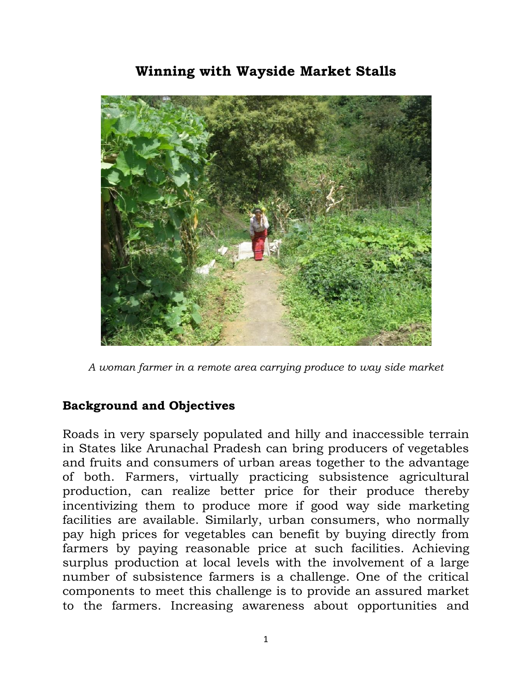## **Winning with Wayside Market Stalls**



*A woman farmer in a remote area carrying produce to way side market*

## **Background and Objectives**

Roads in very sparsely populated and hilly and inaccessible terrain in States like Arunachal Pradesh can bring producers of vegetables and fruits and consumers of urban areas together to the advantage of both. Farmers, virtually practicing subsistence agricultural production, can realize better price for their produce thereby incentivizing them to produce more if good way side marketing facilities are available. Similarly, urban consumers, who normally pay high prices for vegetables can benefit by buying directly from farmers by paying reasonable price at such facilities. Achieving surplus production at local levels with the involvement of a large number of subsistence farmers is a challenge. One of the critical components to meet this challenge is to provide an assured market to the farmers. Increasing awareness about opportunities and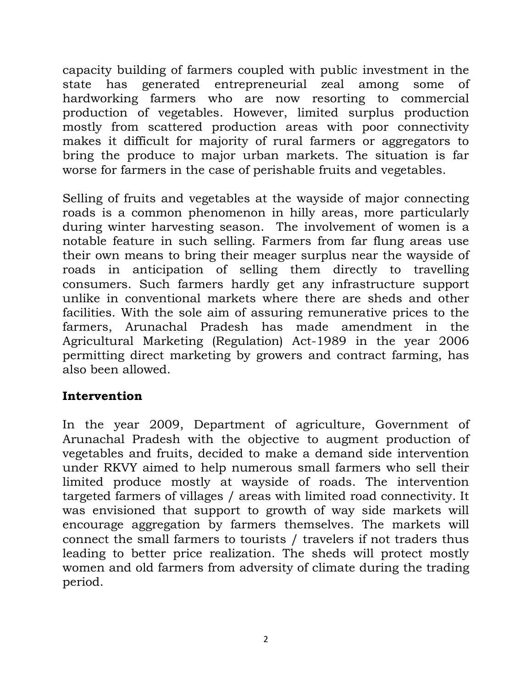capacity building of farmers coupled with public investment in the state has generated entrepreneurial zeal among some of hardworking farmers who are now resorting to commercial production of vegetables. However, limited surplus production mostly from scattered production areas with poor connectivity makes it difficult for majority of rural farmers or aggregators to bring the produce to major urban markets. The situation is far worse for farmers in the case of perishable fruits and vegetables.

Selling of fruits and vegetables at the wayside of major connecting roads is a common phenomenon in hilly areas, more particularly during winter harvesting season. The involvement of women is a notable feature in such selling. Farmers from far flung areas use their own means to bring their meager surplus near the wayside of roads in anticipation of selling them directly to travelling consumers. Such farmers hardly get any infrastructure support unlike in conventional markets where there are sheds and other facilities. With the sole aim of assuring remunerative prices to the farmers, Arunachal Pradesh has made amendment in the Agricultural Marketing (Regulation) Act-1989 in the year 2006 permitting direct marketing by growers and contract farming, has also been allowed.

## **Intervention**

In the year 2009, Department of agriculture, Government of Arunachal Pradesh with the objective to augment production of vegetables and fruits, decided to make a demand side intervention under RKVY aimed to help numerous small farmers who sell their limited produce mostly at wayside of roads. The intervention targeted farmers of villages / areas with limited road connectivity. It was envisioned that support to growth of way side markets will encourage aggregation by farmers themselves. The markets will connect the small farmers to tourists / travelers if not traders thus leading to better price realization. The sheds will protect mostly women and old farmers from adversity of climate during the trading period.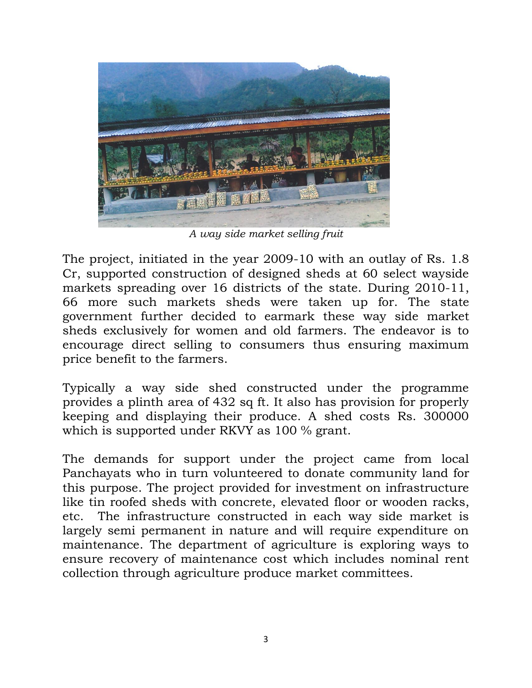

*A way side market selling fruit*

The project, initiated in the year 2009-10 with an outlay of Rs. 1.8 Cr, supported construction of designed sheds at 60 select wayside markets spreading over 16 districts of the state. During 2010-11, 66 more such markets sheds were taken up for. The state government further decided to earmark these way side market sheds exclusively for women and old farmers. The endeavor is to encourage direct selling to consumers thus ensuring maximum price benefit to the farmers.

Typically a way side shed constructed under the programme provides a plinth area of 432 sq ft. It also has provision for properly keeping and displaying their produce. A shed costs Rs. 300000 which is supported under RKVY as 100 % grant.

The demands for support under the project came from local Panchayats who in turn volunteered to donate community land for this purpose. The project provided for investment on infrastructure like tin roofed sheds with concrete, elevated floor or wooden racks, etc. The infrastructure constructed in each way side market is largely semi permanent in nature and will require expenditure on maintenance. The department of agriculture is exploring ways to ensure recovery of maintenance cost which includes nominal rent collection through agriculture produce market committees.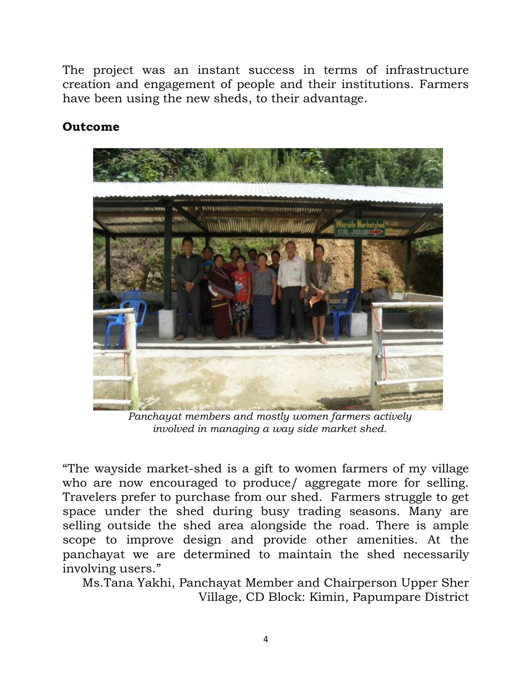The project was an instant success in terms of infrastructure creation and engagement of people and their institutions. Farmers have been using the new sheds, to their advantage.

## **Outcome**



*Panchayat members and mostly women farmers actively involved in managing a way side market shed.*

"The wayside market-shed is a gift to women farmers of my village who are now encouraged to produce/ aggregate more for selling. Travelers prefer to purchase from our shed. Farmers struggle to get space under the shed during busy trading seasons. Many are selling outside the shed area alongside the road. There is ample scope to improve design and provide other amenities. At the panchayat we are determined to maintain the shed necessarily involving users."

Ms.Tana Yakhi, Panchayat Member and Chairperson Upper Sher Village, CD Block: Kimin, Papumpare District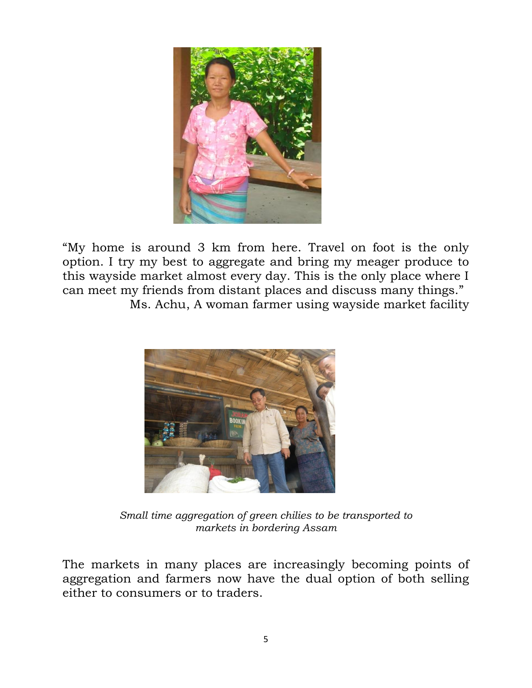

"My home is around 3 km from here. Travel on foot is the only option. I try my best to aggregate and bring my meager produce to this wayside market almost every day. This is the only place where I can meet my friends from distant places and discuss many things." Ms. Achu, A woman farmer using wayside market facility



*Small time aggregation of green chilies to be transported to markets in bordering Assam*

The markets in many places are increasingly becoming points of aggregation and farmers now have the dual option of both selling either to consumers or to traders.